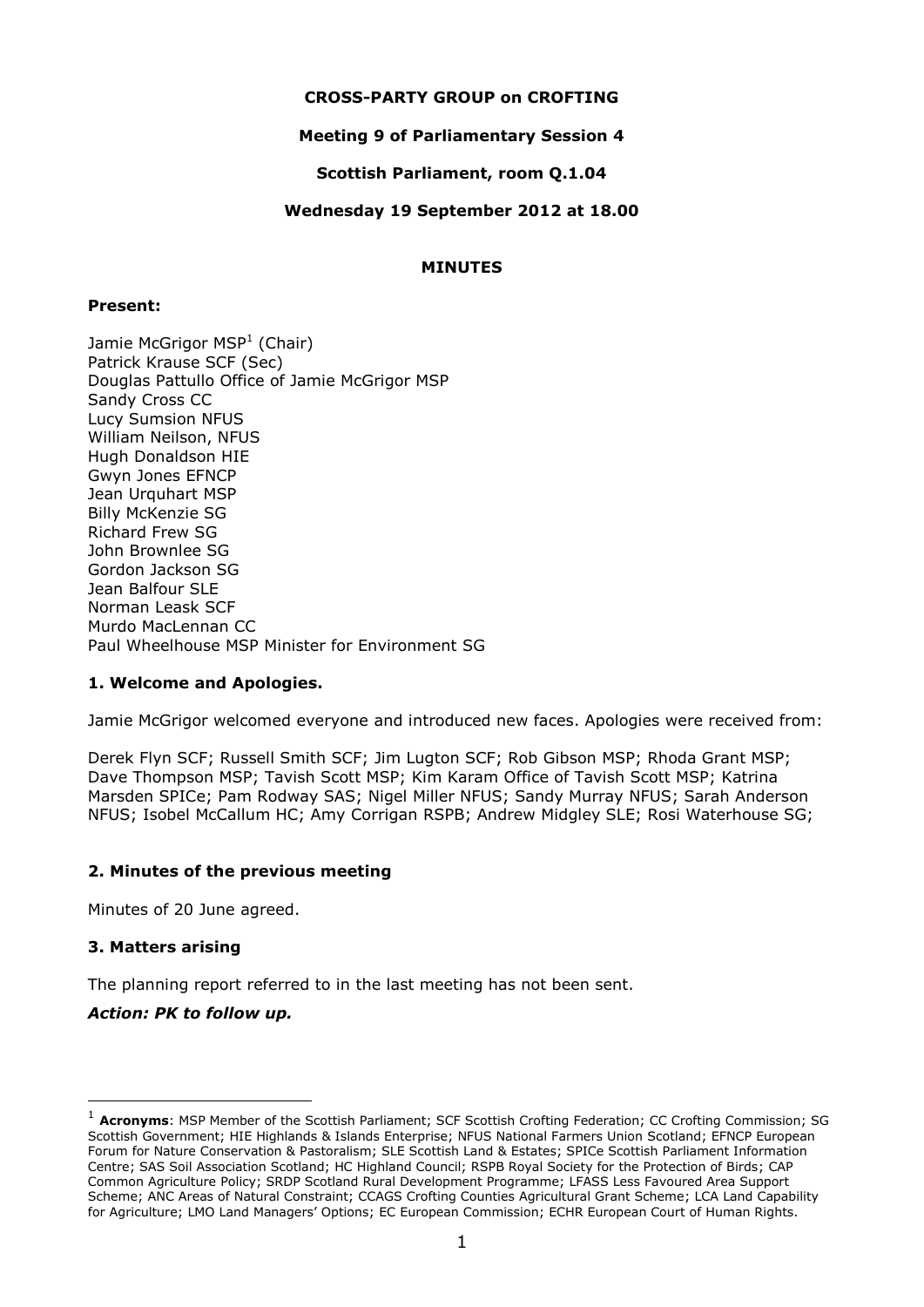## **CROSS-PARTY GROUP on CROFTING**

## **Meeting 9 of Parliamentary Session 4**

## **Scottish Parliament, room Q.1.04**

## **Wednesday 19 September 2012 at 18.00**

## **MINUTES**

## **Present:**

Jamie McGrigor MSP<sup>1</sup> (Chair) Patrick Krause SCF (Sec) Douglas Pattullo Office of Jamie McGrigor MSP Sandy Cross CC Lucy Sumsion NFUS William Neilson, NFUS Hugh Donaldson HIE Gwyn Jones EFNCP Jean Urquhart MSP Billy McKenzie SG Richard Frew SG John Brownlee SG Gordon Jackson SG Jean Balfour SLE Norman Leask SCF Murdo MacLennan CC Paul Wheelhouse MSP Minister for Environment SG

## **1. Welcome and Apologies.**

Jamie McGrigor welcomed everyone and introduced new faces. Apologies were received from:

Derek Flyn SCF; Russell Smith SCF; Jim Lugton SCF; Rob Gibson MSP; Rhoda Grant MSP; Dave Thompson MSP; Tavish Scott MSP; Kim Karam Office of Tavish Scott MSP; Katrina Marsden SPICe; Pam Rodway SAS; Nigel Miller NFUS; Sandy Murray NFUS; Sarah Anderson NFUS; Isobel McCallum HC; Amy Corrigan RSPB; Andrew Midgley SLE; Rosi Waterhouse SG;

## **2. Minutes of the previous meeting**

Minutes of 20 June agreed.

## **3. Matters arising**

-

The planning report referred to in the last meeting has not been sent.

## *Action: PK to follow up.*

<sup>&</sup>lt;sup>1</sup> **Acronyms**: MSP Member of the Scottish Parliament; SCF Scottish Crofting Federation; CC Crofting Commission; SG Scottish Government; HIE Highlands & Islands Enterprise; NFUS National Farmers Union Scotland; EFNCP European Forum for Nature Conservation & Pastoralism; SLE Scottish Land & Estates; SPICe Scottish Parliament Information Centre; SAS Soil Association Scotland; HC Highland Council; RSPB Royal Society for the Protection of Birds; CAP Common Agriculture Policy; SRDP Scotland Rural Development Programme; LFASS Less Favoured Area Support Scheme; ANC Areas of Natural Constraint; CCAGS Crofting Counties Agricultural Grant Scheme; LCA Land Capability for Agriculture; LMO Land Managers' Options; EC European Commission; ECHR European Court of Human Rights.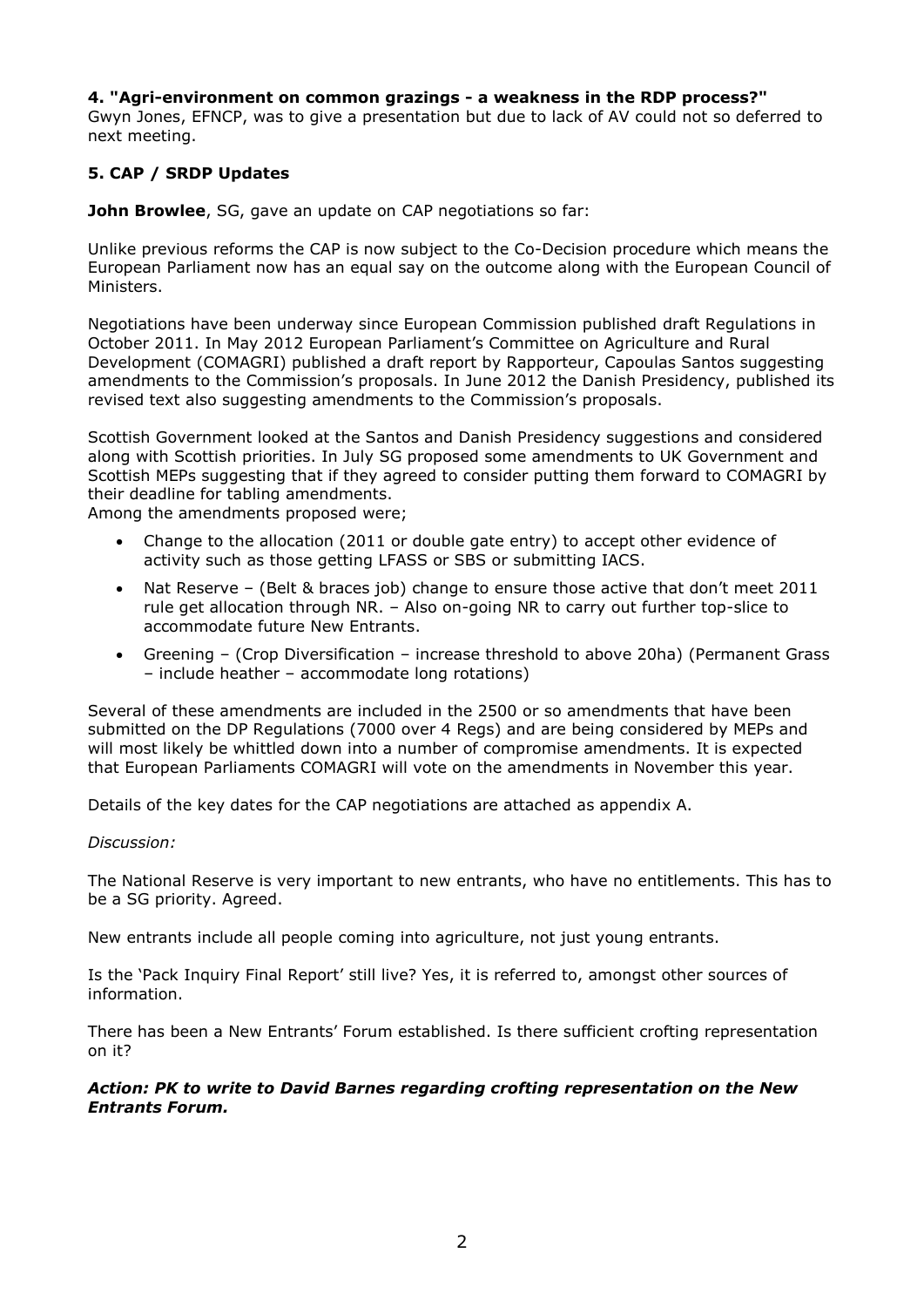## **4. "Agri-environment on common grazings - a weakness in the RDP process?"**

Gwyn Jones, EFNCP, was to give a presentation but due to lack of AV could not so deferred to next meeting.

## **5. CAP / SRDP Updates**

**John Browlee**, SG, gave an update on CAP negotiations so far:

Unlike previous reforms the CAP is now subject to the Co-Decision procedure which means the European Parliament now has an equal say on the outcome along with the European Council of Ministers.

Negotiations have been underway since European Commission published draft Regulations in October 2011. In May 2012 European Parliament's Committee on Agriculture and Rural Development (COMAGRI) published a draft report by Rapporteur, Capoulas Santos suggesting amendments to the Commission's proposals. In June 2012 the Danish Presidency, published its revised text also suggesting amendments to the Commission's proposals.

Scottish Government looked at the Santos and Danish Presidency suggestions and considered along with Scottish priorities. In July SG proposed some amendments to UK Government and Scottish MEPs suggesting that if they agreed to consider putting them forward to COMAGRI by their deadline for tabling amendments.

Among the amendments proposed were;

- Change to the allocation (2011 or double gate entry) to accept other evidence of activity such as those getting LFASS or SBS or submitting IACS.
- Nat Reserve (Belt & braces job) change to ensure those active that don't meet 2011 rule get allocation through NR. – Also on-going NR to carry out further top-slice to accommodate future New Entrants.
- Greening (Crop Diversification increase threshold to above 20ha) (Permanent Grass – include heather – accommodate long rotations)

Several of these amendments are included in the 2500 or so amendments that have been submitted on the DP Regulations (7000 over 4 Regs) and are being considered by MEPs and will most likely be whittled down into a number of compromise amendments. It is expected that European Parliaments COMAGRI will vote on the amendments in November this year.

Details of the key dates for the CAP negotiations are attached as appendix A.

## *Discussion:*

The National Reserve is very important to new entrants, who have no entitlements. This has to be a SG priority. Agreed.

New entrants include all people coming into agriculture, not just young entrants.

Is the 'Pack Inquiry Final Report' still live? Yes, it is referred to, amongst other sources of information.

There has been a New Entrants' Forum established. Is there sufficient crofting representation on it?

## *Action: PK to write to David Barnes regarding crofting representation on the New Entrants Forum.*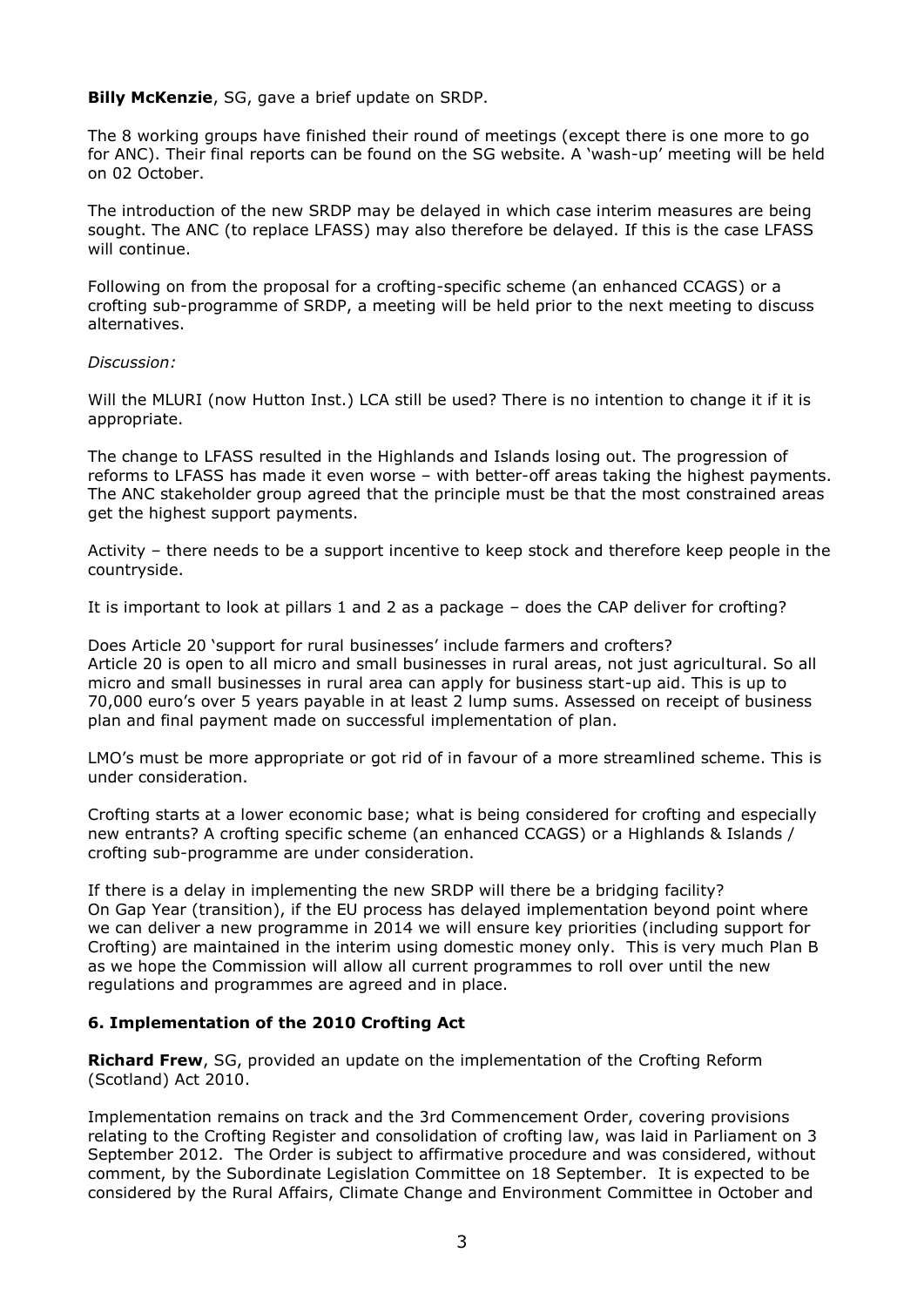## **Billy McKenzie**, SG, gave a brief update on SRDP.

The 8 working groups have finished their round of meetings (except there is one more to go for ANC). Their final reports can be found on the SG website. A 'wash-up' meeting will be held on 02 October.

The introduction of the new SRDP may be delayed in which case interim measures are being sought. The ANC (to replace LFASS) may also therefore be delayed. If this is the case LFASS will continue.

Following on from the proposal for a crofting-specific scheme (an enhanced CCAGS) or a crofting sub-programme of SRDP, a meeting will be held prior to the next meeting to discuss alternatives.

## *Discussion:*

Will the MLURI (now Hutton Inst.) LCA still be used? There is no intention to change it if it is appropriate.

The change to LFASS resulted in the Highlands and Islands losing out. The progression of reforms to LFASS has made it even worse – with better-off areas taking the highest payments. The ANC stakeholder group agreed that the principle must be that the most constrained areas get the highest support payments.

Activity – there needs to be a support incentive to keep stock and therefore keep people in the countryside.

It is important to look at pillars 1 and 2 as a package – does the CAP deliver for crofting?

Does Article 20 'support for rural businesses' include farmers and crofters? Article 20 is open to all micro and small businesses in rural areas, not just agricultural. So all micro and small businesses in rural area can apply for business start-up aid. This is up to 70,000 euro's over 5 years payable in at least 2 lump sums. Assessed on receipt of business plan and final payment made on successful implementation of plan.

LMO's must be more appropriate or got rid of in favour of a more streamlined scheme. This is under consideration.

Crofting starts at a lower economic base; what is being considered for crofting and especially new entrants? A crofting specific scheme (an enhanced CCAGS) or a Highlands & Islands / crofting sub-programme are under consideration.

If there is a delay in implementing the new SRDP will there be a bridging facility? On Gap Year (transition), if the EU process has delayed implementation beyond point where we can deliver a new programme in 2014 we will ensure key priorities (including support for Crofting) are maintained in the interim using domestic money only. This is very much Plan B as we hope the Commission will allow all current programmes to roll over until the new regulations and programmes are agreed and in place.

## **6. Implementation of the 2010 Crofting Act**

**Richard Frew**, SG, provided an update on the implementation of the Crofting Reform (Scotland) Act 2010.

Implementation remains on track and the 3rd Commencement Order, covering provisions relating to the Crofting Register and consolidation of crofting law, was laid in Parliament on 3 September 2012. The Order is subject to affirmative procedure and was considered, without comment, by the Subordinate Legislation Committee on 18 September. It is expected to be considered by the Rural Affairs, Climate Change and Environment Committee in October and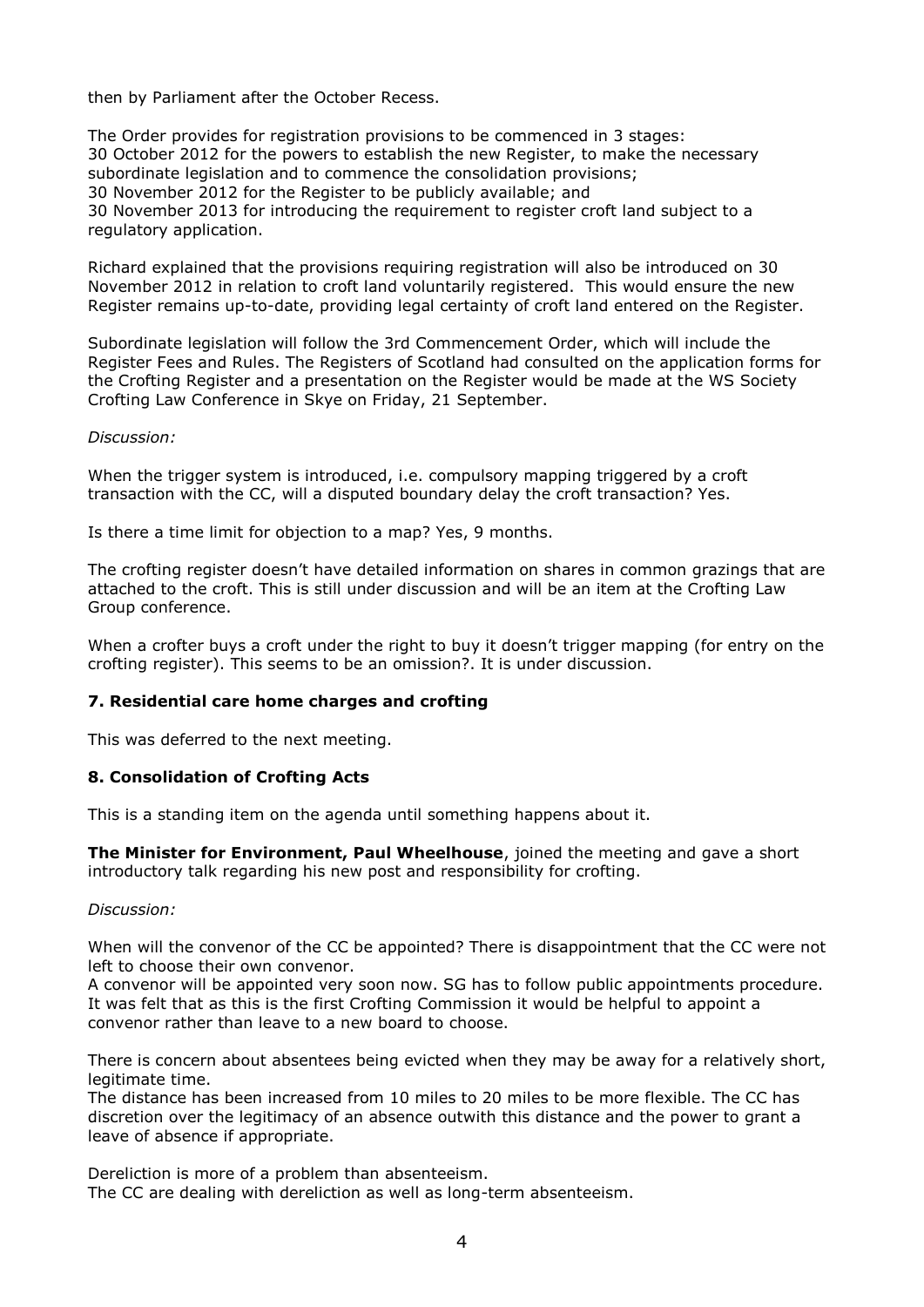then by Parliament after the October Recess.

The Order provides for registration provisions to be commenced in 3 stages: 30 October 2012 for the powers to establish the new Register, to make the necessary subordinate legislation and to commence the consolidation provisions; 30 November 2012 for the Register to be publicly available; and 30 November 2013 for introducing the requirement to register croft land subject to a regulatory application.

Richard explained that the provisions requiring registration will also be introduced on 30 November 2012 in relation to croft land voluntarily registered. This would ensure the new Register remains up-to-date, providing legal certainty of croft land entered on the Register.

Subordinate legislation will follow the 3rd Commencement Order, which will include the Register Fees and Rules. The Registers of Scotland had consulted on the application forms for the Crofting Register and a presentation on the Register would be made at the WS Society Crofting Law Conference in Skye on Friday, 21 September.

#### *Discussion:*

When the trigger system is introduced, i.e. compulsory mapping triggered by a croft transaction with the CC, will a disputed boundary delay the croft transaction? Yes.

Is there a time limit for objection to a map? Yes, 9 months.

The crofting register doesn't have detailed information on shares in common grazings that are attached to the croft. This is still under discussion and will be an item at the Crofting Law Group conference.

When a crofter buys a croft under the right to buy it doesn't trigger mapping (for entry on the crofting register). This seems to be an omission?. It is under discussion.

## **7. Residential care home charges and crofting**

This was deferred to the next meeting.

## **8. Consolidation of Crofting Acts**

This is a standing item on the agenda until something happens about it.

**The Minister for Environment, Paul Wheelhouse**, joined the meeting and gave a short introductory talk regarding his new post and responsibility for crofting.

## *Discussion:*

When will the convenor of the CC be appointed? There is disappointment that the CC were not left to choose their own convenor.

A convenor will be appointed very soon now. SG has to follow public appointments procedure. It was felt that as this is the first Crofting Commission it would be helpful to appoint a convenor rather than leave to a new board to choose.

There is concern about absentees being evicted when they may be away for a relatively short, legitimate time.

The distance has been increased from 10 miles to 20 miles to be more flexible. The CC has discretion over the legitimacy of an absence outwith this distance and the power to grant a leave of absence if appropriate.

Dereliction is more of a problem than absenteeism. The CC are dealing with dereliction as well as long-term absenteeism.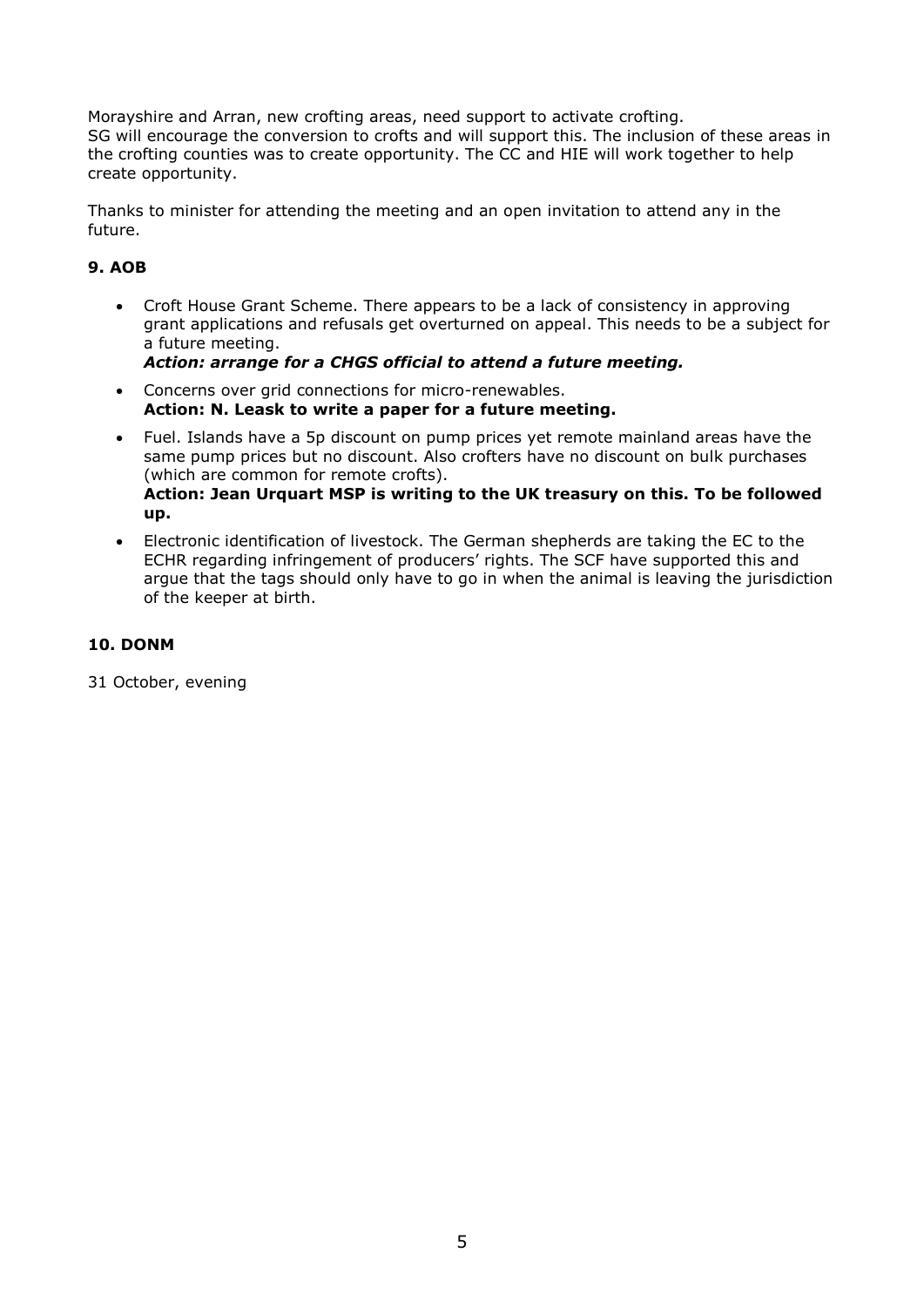Morayshire and Arran, new crofting areas, need support to activate crofting. SG will encourage the conversion to crofts and will support this. The inclusion of these areas in the crofting counties was to create opportunity. The CC and HIE will work together to help create opportunity.

Thanks to minister for attending the meeting and an open invitation to attend any in the future.

# **9. AOB**

- Croft House Grant Scheme. There appears to be a lack of consistency in approving grant applications and refusals get overturned on appeal. This needs to be a subject for a future meeting. *Action: arrange for a CHGS official to attend a future meeting.*
- Concerns over grid connections for micro-renewables. **Action: N. Leask to write a paper for a future meeting.**
- Fuel. Islands have a 5p discount on pump prices yet remote mainland areas have the same pump prices but no discount. Also crofters have no discount on bulk purchases (which are common for remote crofts). **Action: Jean Urquart MSP is writing to the UK treasury on this. To be followed up.**
- Electronic identification of livestock. The German shepherds are taking the EC to the ECHR regarding infringement of producers' rights. The SCF have supported this and argue that the tags should only have to go in when the animal is leaving the jurisdiction of the keeper at birth.

# **10. DONM**

31 October, evening